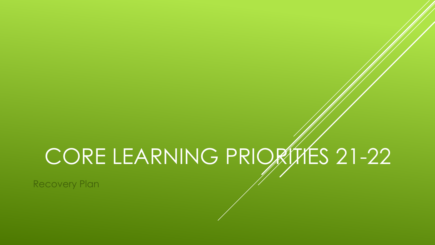# CORE LEARNING PRIORITES 21-22

Recovery Plan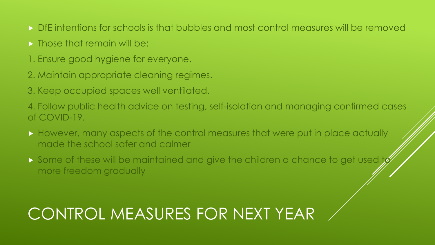- DfE intentions for schools is that bubbles and most control measures will be removed
- **Figure 1.5 Those that remain will be:**
- 1. Ensure good hygiene for everyone.
- 2. Maintain appropriate cleaning regimes.
- 3. Keep occupied spaces well ventilated.

4. Follow public health advice on testing, self-isolation and managing confirmed cases of COVID-19.

- However, many aspects of the control measures that were put in place actually made the school safer and calmer
- Some of these will be maintained and give the children a chance to get used more freedom gradually

## CONTROL MEASURES FOR NEXT YEAR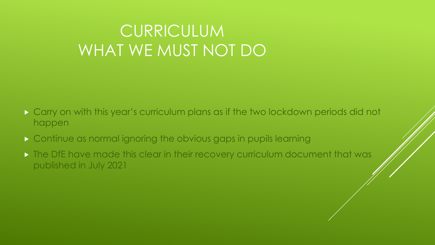### CURRICULUM WHAT WE MUST NOT DO

- Carry on with this year's curriculum plans as if the two lockdown periods did not happen
- Continue as normal ignoring the obvious gaps in pupils learning
- **The DfE have made this clear in their recovery curriculum document that was** published in July 2021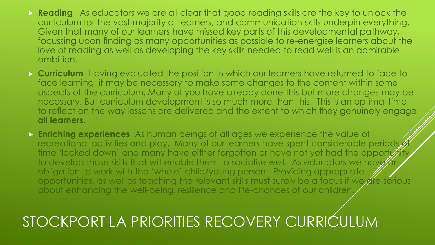- **Reading** As educators we are all clear that good reading skills are the key to unlock the curriculum for the vast majority of learners, and communication skills underpin everything. Given that many of our learners have missed key parts of this developmental pathway, focussing upon finding as many opportunities as possible to re-energise learners about the love of reading as well as developing the key skills needed to read well is an admirable ambition.
- **Curriculum** Having evaluated the position in which our learners have returned to face to face learning, it may be necessary to make some changes to the content within some aspects of the curriculum. Many of you have already done this but more changes may be necessary. But curriculum development is so much more than this. This is an optimal time to reflect on the way lessons are delivered and the extent to which they genuinely engage **all learners.**
- **Enriching experiences** As human beings of all ages we experience the value of recreational activities and play. Many of our learners have spent considerable periods of time 'locked down' and many have either forgotten or have not yet had the opportunity to develop those skills that will enable them to socialise well. As educators we have an obligation to work with the 'whole' child/young person. Providing appropriate opportunities, as well as teaching the relevant skills must surely be a focus if we are serious about enhancing the well-being, resilience and life-chances of our children.

### STOCKPORT LA PRIORITIES RECOVERY CURRICULUM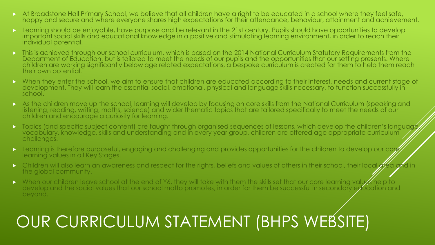- At Broadstone Hall Primary School, we believe that all children have a right to be educated in a school where they feel safe, happy and secure and where everyone shares high expectations for their attendance, behaviour, attainment and achievement.
- **Learning should be enjoyable, have purpose and be relevant in the 21st century. Pupils should have opportunities to develop** important social skills and educational knowledge in a positive and stimulating learning environment, in order to reach their individual potential.
- This is achieved through our school curriculum, which is based on the 2014 National Curriculum Statutory Requirements from the Department of Education, but is tailored to meet the needs of our pupils and the opportunities that our setting presents. Where children are working significantly below age related expectations, a bespoke curriculum is created for them to help them reach their own potential.
- When they enter the school, we aim to ensure that children are educated according to their interest, needs and current stage of development. They will learn the essential social, emotional, physical and language skills necessary, to function successfully in school.
- As the children move up the school, learning will develop by focusing on core skills from the National Curriculum (speaking and listening, reading, writing, maths, science) and wider thematic topics that are tailored specifically to meet the needs of our children and encourage a curiosity for learning.
- Topics (and specific subject content) are taught through organised sequences of lessons, which develop the children's language, vocabulary, knowledge, skills and understanding and in every year group, children are offered age appropriate curriculum challenges.
- $\triangleright$  Learning is therefore purposeful, engaging and challenging and provides opportunities for the children to develop our core learning values in all Key Stages.
- Children will also learn an awareness and respect for the rights, beliefs and values of others in their school, their local area and in the global community.
- When our children leave school at the end of Y6, they will take with them the skills set that our core learning values help to develop and the social values that our school motto promotes, in order for them be successful in secondary education and beyond.

### OUR CURRICULUM STATEMENT (BHPS WEBSITE)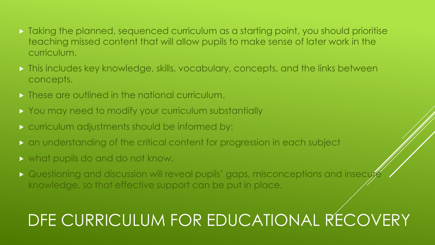- Taking the planned, sequenced curriculum as a starting point, you should prioritise teaching missed content that will allow pupils to make sense of later work in the curriculum.
- **This includes key knowledge, skills, vocabulary, concepts, and the links between** concepts.
- **These are outlined in the national curriculum.**
- **> You may need to modify your curriculum substantially**
- **Example 2 curriculum adjustments should be informed by:**
- an understanding of the critical content for progression in each subject
- what pupils do and do not know.
- Questioning and discussion will reveal pupils' gaps, misconceptions and insecute knowledge, so that effective support can be put in place.

### DFE CURRICULUM FOR EDUCATIONAL RECOVERY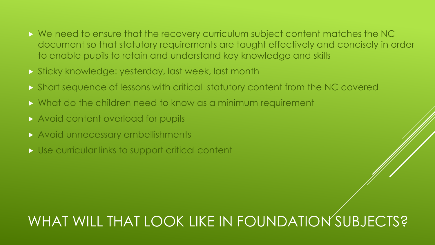- We need to ensure that the recovery curriculum subject content matches the NC document so that statutory requirements are taught effectively and concisely in order to enable pupils to retain and understand key knowledge and skills
- Sticky knowledge: yesterday, last week, last month
- Short sequence of lessons with critical statutory content from the NC covered
- What do the children need to know as a minimum requirement
- **Avoid content overload for pupils**
- Avoid unnecessary embellishments
- Use curricular links to support critical content

### WHAT WILL THAT LOOK LIKE IN FOUNDATION SUBJECTS?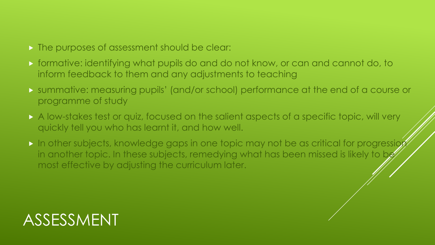- The purposes of assessment should be clear:
- formative: identifying what pupils do and do not know, or can and cannot do, to inform feedback to them and any adjustments to teaching
- summative: measuring pupils' (and/or school) performance at the end of a course or programme of study
- A low-stakes test or quiz, focused on the salient aspects of a specific topic, will very quickly tell you who has learnt it, and how well.
- In other subjects, knowledge gaps in one topic may not be as critical for progression in another topic. In these subjects, remedying what has been missed is likely to be most effective by adjusting the curriculum later.

### ASSESSMENT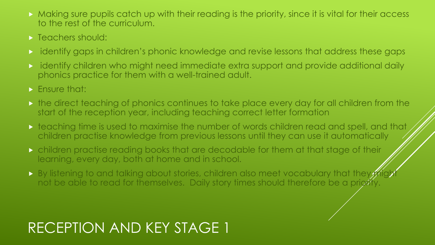- **Making sure pupils catch up with their reading is the priority, since it is vital for their access** to the rest of the curriculum.
- $\triangleright$  Teachers should:
- identify gaps in children's phonic knowledge and revise lessons that address these gaps
- identify children who might need immediate extra support and provide additional daily phonics practice for them with a well-trained adult.
- $\triangleright$  Ensure that:
- the direct teaching of phonics continues to take place every day for all children from the start of the reception year, including teaching correct letter formation
- $\blacktriangleright$  teaching time is used to maximise the number of words children read and spell, and that children practise knowledge from previous lessons until they can use it automatically
- children practise reading books that are decodable for them at that stage of their learning, every day, both at home and in school.
- By listening to and talking about stories, children also meet vocabulary that they might not be able to read for themselves. Daily story times should therefore be a priority.

### RECEPTION AND KEY STAGE 1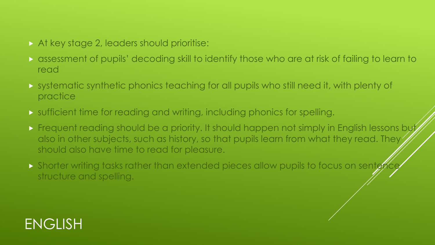### At key stage 2, leaders should prioritise:

- assessment of pupils' decoding skill to identify those who are at risk of failing to learn to read
- systematic synthetic phonics teaching for all pupils who still need it, with plenty of practice
- sufficient time for reading and writing, including phonics for spelling.
- **Figuent reading should be a priority. It should happen not simply in English lessons by the Struts** also in other subjects, such as history, so that pupils learn from what they read. They should also have time to read for pleasure.
- Shorter writing tasks rather than extended pieces allow pupils to focus on senter structure and spelling.

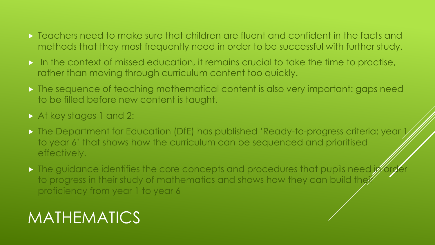- **Teachers need to make sure that children are fluent and confident in the facts and** methods that they most frequently need in order to be successful with further study.
- $\triangleright$  In the context of missed education, it remains crucial to take the time to practise, rather than moving through curriculum content too quickly.
- The sequence of teaching mathematical content is also very important: gaps need to be filled before new content is taught.
- At key stages 1 and 2:
- The Department for Education (DfE) has published 'Ready-to-progress criteria: year 1 to year 6' that shows how the curriculum can be sequenced and prioritised effectively.
- The guidance identifies the core concepts and procedures that pupils need in order to progress in their study of mathematics and shows how they can build their proficiency from year 1 to year 6

### **MATHEMATICS**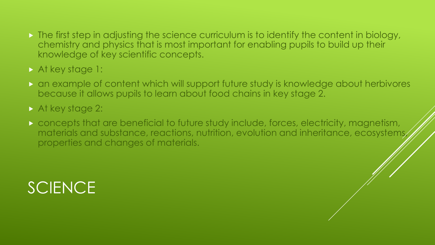- $\triangleright$  The first step in adjusting the science curriculum is to identify the content in biology, chemistry and physics that is most important for enabling pupils to build up their knowledge of key scientific concepts.
- At key stage 1:
- an example of content which will support future study is knowledge about herbivores because it allows pupils to learn about food chains in key stage 2.
- At key stage 2:
- concepts that are beneficial to future study include, forces, electricity, magnetism, materials and substance, reactions, nutrition, evolution and inheritance, ecosystems, properties and changes of materials.

### SCIENCE